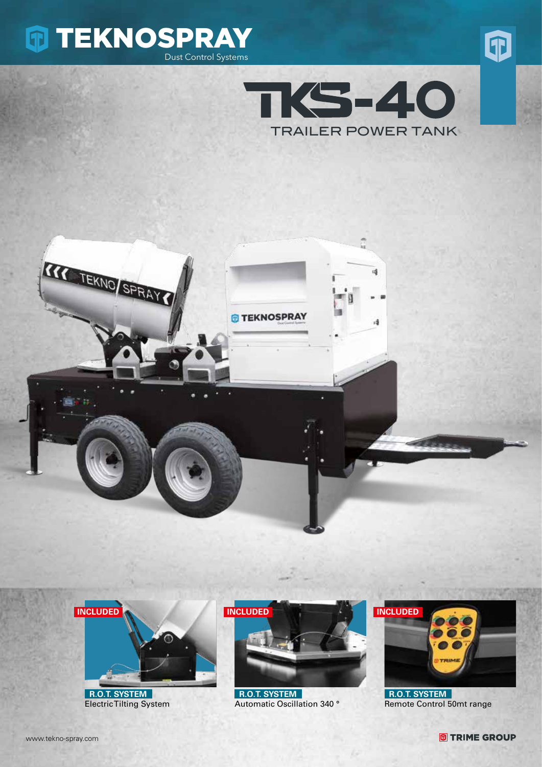









 **R.O.T. SYSTEM** Electric Tilting System



 **R.O.T. SYSTEM** Automatic Oscillation 340 °



 **R.O.T. SYSTEM** Remote Control 50mt range